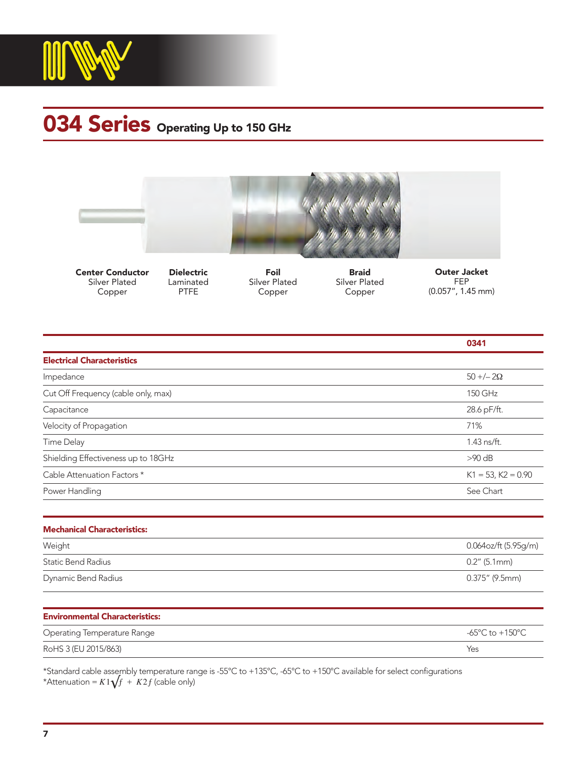

## 034 Series Operating Up to 150 GHz





Dielectric Laminated PTFE



Silver Plated Copper

Braid Silver Plated Copper



|                                       | 0341                                                  |
|---------------------------------------|-------------------------------------------------------|
| <b>Electrical Characteristics</b>     |                                                       |
| Impedance                             | $50 + -2\Omega$                                       |
| Cut Off Frequency (cable only, max)   | 150 GHz                                               |
| Capacitance                           | 28.6 pF/ft.                                           |
| Velocity of Propagation               | 71%                                                   |
| <b>Time Delay</b>                     | 1.43 ns/ft.                                           |
| Shielding Effectiveness up to 18GHz   | $>90$ dB                                              |
| Cable Attenuation Factors *           | $K1 = 53$ , $K2 = 0.90$                               |
| Power Handling                        | See Chart                                             |
| <b>Mechanical Characteristics:</b>    |                                                       |
| Weight                                | 0.064oz/ft (5.95g/m)                                  |
| <b>Static Bend Radius</b>             | $0.2''$ (5.1mm)                                       |
| Dynamic Bend Radius                   | $0.375''$ (9.5mm)                                     |
| <b>Environmental Characteristics:</b> |                                                       |
| Operating Temperature Range           | -65 $\mathrm{^{\circ}C}$ to +150 $\mathrm{^{\circ}C}$ |

\*Standard cable assembly temperature range is -55°C to +135°C, -65°C to +150°C available for select configurations \*Attenuation =  $K1\sqrt{f}$  +  $K2f$  (cable only)

RoHS 3 (EU 2015/863) Yes